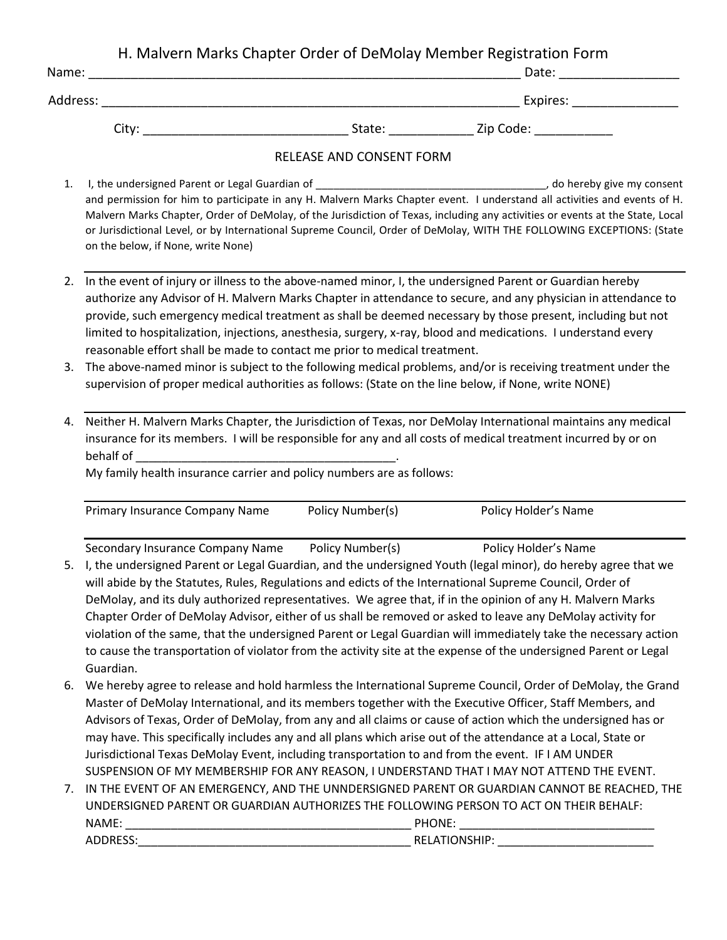|       | H. Malvern Marks Chapter Order of DeMolay Member Registration Form |  |  |
|-------|--------------------------------------------------------------------|--|--|
| Name: | Date:                                                              |  |  |
|       |                                                                    |  |  |

| hhA<br>. <b>.</b> . | -<br>_ |
|---------------------|--------|
|                     |        |

City: \_\_\_\_\_\_\_\_\_\_\_\_\_\_\_\_\_\_\_\_\_\_\_\_\_\_\_\_\_ State: \_\_\_\_\_\_\_\_\_\_\_\_ Zip Code: \_\_\_\_\_\_\_\_\_\_\_

## RELEASE AND CONSENT FORM

- 1. I, the undersigned Parent or Legal Guardian of \_\_\_\_\_\_\_\_\_\_\_\_\_\_\_\_\_\_\_\_\_\_\_\_\_\_\_\_\_\_\_\_\_\_\_\_\_\_\_, do hereby give my consent and permission for him to participate in any H. Malvern Marks Chapter event. I understand all activities and events of H. Malvern Marks Chapter, Order of DeMolay, of the Jurisdiction of Texas, including any activities or events at the State, Local or Jurisdictional Level, or by International Supreme Council, Order of DeMolay, WITH THE FOLLOWING EXCEPTIONS: (State on the below, if None, write None)
- 2. In the event of injury or illness to the above-named minor, I, the undersigned Parent or Guardian hereby authorize any Advisor of H. Malvern Marks Chapter in attendance to secure, and any physician in attendance to provide, such emergency medical treatment as shall be deemed necessary by those present, including but not limited to hospitalization, injections, anesthesia, surgery, x-ray, blood and medications. I understand every reasonable effort shall be made to contact me prior to medical treatment.
- 3. The above-named minor is subject to the following medical problems, and/or is receiving treatment under the supervision of proper medical authorities as follows: (State on the line below, if None, write NONE)
- 4. Neither H. Malvern Marks Chapter, the Jurisdiction of Texas, nor DeMolay International maintains any medical insurance for its members. I will be responsible for any and all costs of medical treatment incurred by or on behalf of  $\Box$

My family health insurance carrier and policy numbers are as follows:

| Primary Insurance Company Name | Policy Number(s) | Policy Holder's Name |  |
|--------------------------------|------------------|----------------------|--|
|                                |                  |                      |  |

Secondary Insurance Company Name Policy Number(s) Policy Holder's Name

- 5. I, the undersigned Parent or Legal Guardian, and the undersigned Youth (legal minor), do hereby agree that we will abide by the Statutes, Rules, Regulations and edicts of the International Supreme Council, Order of DeMolay, and its duly authorized representatives. We agree that, if in the opinion of any H. Malvern Marks Chapter Order of DeMolay Advisor, either of us shall be removed or asked to leave any DeMolay activity for violation of the same, that the undersigned Parent or Legal Guardian will immediately take the necessary action to cause the transportation of violator from the activity site at the expense of the undersigned Parent or Legal Guardian.
- 6. We hereby agree to release and hold harmless the International Supreme Council, Order of DeMolay, the Grand Master of DeMolay International, and its members together with the Executive Officer, Staff Members, and Advisors of Texas, Order of DeMolay, from any and all claims or cause of action which the undersigned has or may have. This specifically includes any and all plans which arise out of the attendance at a Local, State or Jurisdictional Texas DeMolay Event, including transportation to and from the event. IF I AM UNDER SUSPENSION OF MY MEMBERSHIP FOR ANY REASON, I UNDERSTAND THAT I MAY NOT ATTEND THE EVENT.
- 7. IN THE EVENT OF AN EMERGENCY, AND THE UNNDERSIGNED PARENT OR GUARDIAN CANNOT BE REACHED, THE UNDERSIGNED PARENT OR GUARDIAN AUTHORIZES THE FOLLOWING PERSON TO ACT ON THEIR BEHALF:  $NAME:$   $PHONE:$ ADDRESS:\_\_\_\_\_\_\_\_\_\_\_\_\_\_\_\_\_\_\_\_\_\_\_\_\_\_\_\_\_\_\_\_\_\_\_\_\_\_\_\_\_\_ RELATIONSHIP: \_\_\_\_\_\_\_\_\_\_\_\_\_\_\_\_\_\_\_\_\_\_\_\_